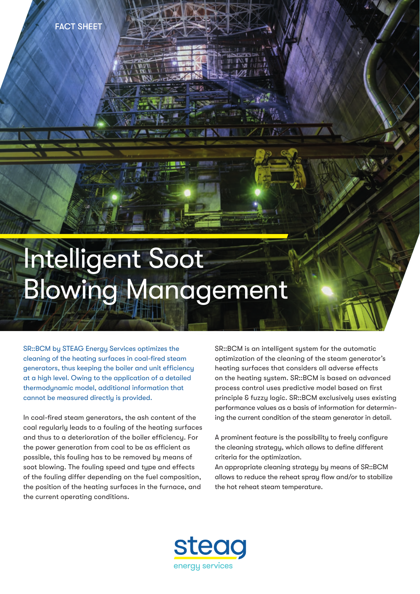

# Blowing Management

SR::BCM by STEAG Energy Services optimizes the cleaning of the heating surfaces in coal-fired steam generators, thus keeping the boiler and unit efficiency at a high level. Owing to the application of a detailed thermodynamic model, additional information that cannot be measured directly is provided.

In coal-fired steam generators, the ash content of the coal regularly leads to a fouling of the heating surfaces and thus to a deterioration of the boiler efficiency. For the power generation from coal to be as efficient as possible, this fouling has to be removed by means of soot blowing. The fouling speed and type and effects of the fouling differ depending on the fuel composition, the position of the heating surfaces in the furnace, and the current operating conditions.

SR::BCM is an intelligent system for the automatic optimization of the cleaning of the steam generator's heating surfaces that considers all adverse effects on the heating system. SR::BCM is based on advanced process control uses predictive model based on first principle & fuzzy logic. SR::BCM exclusively uses existing performance values as a basis of information for determining the current condition of the steam generator in detail.

A prominent feature is the possibility to freely configure the cleaning strategy, which allows to define different criteria for the optimization.

An appropriate cleaning strategy by means of SR::BCM allows to reduce the reheat spray flow and/or to stabilize the hot reheat steam temperature.